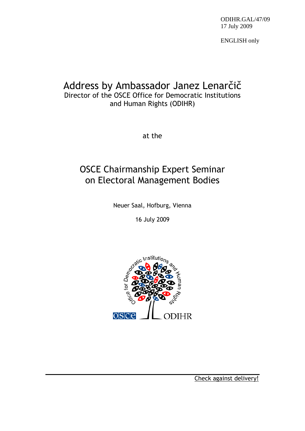ODIHR.GAL/47/09 17 July 2009

ENGLISH only

## Address by Ambassador Janez Lenarčič Director of the OSCE Office for Democratic Institutions and Human Rights (ODIHR)

at the

## OSCE Chairmanship Expert Seminar on Electoral Management Bodies

Neuer Saal, Hofburg, Vienna

16 July 2009

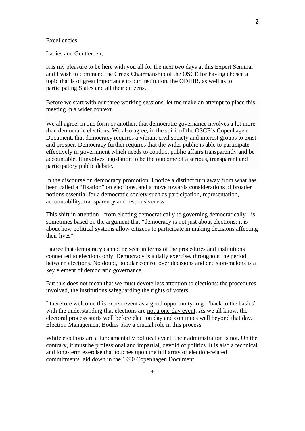## Excellencies,

Ladies and Gentlemen,

It is my pleasure to be here with you all for the next two days at this Expert Seminar and I wish to commend the Greek Chairmanship of the OSCE for having chosen a topic that is of great importance to our Institution, the ODIHR, as well as to participating States and all their citizens.

Before we start with our three working sessions, let me make an attempt to place this meeting in a wider context.

We all agree, in one form or another, that democratic governance involves a lot more than democratic elections. We also agree, in the spirit of the OSCE's Copenhagen Document, that democracy requires a vibrant civil society and interest groups to exist and prosper. Democracy further requires that the wider public is able to participate effectively in government which needs to conduct public affairs transparently and be accountable. It involves legislation to be the outcome of a serious, transparent and participatory public debate.

In the discourse on democracy promotion, I notice a distinct turn away from what has been called a "fixation" on elections, and a move towards considerations of broader notions essential for a democratic society such as participation, representation, accountability, transparency and responsiveness.

This shift in attention - from electing democratically to governing democratically - is sometimes based on the argument that "democracy is not just about elections; it is about how political systems allow citizens to participate in making decisions affecting their lives".

I agree that democracy cannot be seen in terms of the procedures and institutions connected to elections only. Democracy is a daily exercise, throughout the period between elections. No doubt, popular control over decisions and decision-makers is a key element of democratic governance.

But this does not mean that we must devote less attention to elections: the procedures involved, the institutions safeguarding the rights of voters.

I therefore welcome this expert event as a good opportunity to go 'back to the basics' with the understanding that elections are not a one-day event. As we all know, the electoral process starts well before election day and continues well beyond that day. Election Management Bodies play a crucial role in this process.

While elections are a fundamentally political event, their administration is not. On the contrary, it must be professional and impartial, devoid of politics. It is also a technical and long-term exercise that touches upon the full array of election-related commitments laid down in the 1990 Copenhagen Document.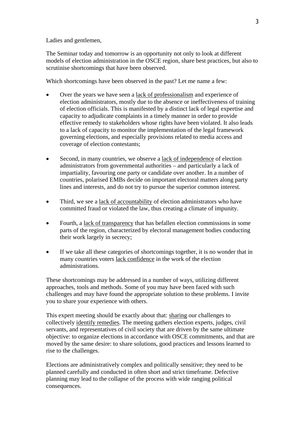Ladies and gentlemen,

The Seminar today and tomorrow is an opportunity not only to look at different models of election administration in the OSCE region, share best practices, but also to scrutinise shortcomings that have been observed.

Which shortcomings have been observed in the past? Let me name a few:

- Over the years we have seen a lack of professionalism and experience of election administrators, mostly due to the absence or ineffectiveness of training of election officials. This is manifested by a distinct lack of legal expertise and capacity to adjudicate complaints in a timely manner in order to provide effective remedy to stakeholders whose rights have been violated. It also leads to a lack of capacity to monitor the implementation of the legal framework governing elections, and especially provisions related to media access and coverage of election contestants;
- Second, in many countries, we observe a lack of independence of election administrators from governmental authorities – and particularly a lack of impartiality, favouring one party or candidate over another. In a number of countries, polarised EMBs decide on important electoral matters along party lines and interests, and do not try to pursue the superior common interest.
- Third, we see a lack of accountability of election administrators who have committed fraud or violated the law, thus creating a climate of impunity.
- Fourth, a lack of transparency that has befallen election commissions in some parts of the region, characterized by electoral management bodies conducting their work largely in secrecy;
- If we take all these categories of shortcomings together, it is no wonder that in many countries voters lack confidence in the work of the election administrations.

These shortcomings may be addressed in a number of ways, utilizing different approaches, tools and methods. Some of you may have been faced with such challenges and may have found the appropriate solution to these problems. I invite you to share your experience with others.

This expert meeting should be exactly about that: sharing our challenges to collectively identify remedies. The meeting gathers election experts, judges, civil servants, and representatives of civil society that are driven by the same ultimate objective: to organize elections in accordance with OSCE commitments, and that are moved by the same desire: to share solutions, good practices and lessons learned to rise to the challenges.

Elections are administratively complex and politically sensitive; they need to be planned carefully and conducted in often short and strict timeframe. Defective planning may lead to the collapse of the process with wide ranging political consequences.